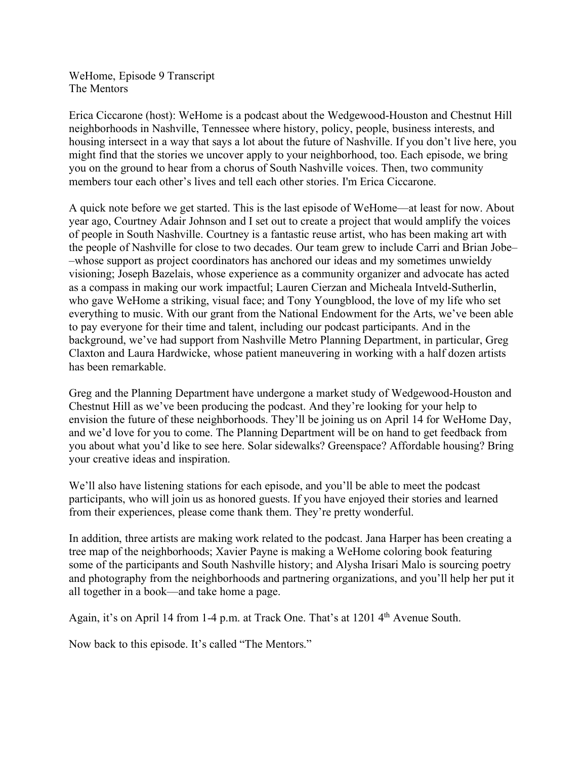WeHome, Episode 9 Transcript The Mentors

Erica Ciccarone (host): WeHome is a podcast about the Wedgewood-Houston and Chestnut Hill neighborhoods in Nashville, Tennessee where history, policy, people, business interests, and housing intersect in a way that says a lot about the future of Nashville. If you don't live here, you might find that the stories we uncover apply to your neighborhood, too. Each episode, we bring you on the ground to hear from a chorus of South Nashville voices. Then, two community members tour each other's lives and tell each other stories. I'm Erica Ciccarone.

A quick note before we get started. This is the last episode of WeHome––at least for now. About year ago, Courtney Adair Johnson and I set out to create a project that would amplify the voices of people in South Nashville. Courtney is a fantastic reuse artist, who has been making art with the people of Nashville for close to two decades. Our team grew to include Carri and Brian Jobe– –whose support as project coordinators has anchored our ideas and my sometimes unwieldy visioning; Joseph Bazelais, whose experience as a community organizer and advocate has acted as a compass in making our work impactful; Lauren Cierzan and Micheala Intveld-Sutherlin, who gave WeHome a striking, visual face; and Tony Youngblood, the love of my life who set everything to music. With our grant from the National Endowment for the Arts, we've been able to pay everyone for their time and talent, including our podcast participants. And in the background, we've had support from Nashville Metro Planning Department, in particular, Greg Claxton and Laura Hardwicke, whose patient maneuvering in working with a half dozen artists has been remarkable.

Greg and the Planning Department have undergone a market study of Wedgewood-Houston and Chestnut Hill as we've been producing the podcast. And they're looking for your help to envision the future of these neighborhoods. They'll be joining us on April 14 for WeHome Day, and we'd love for you to come. The Planning Department will be on hand to get feedback from you about what you'd like to see here. Solar sidewalks? Greenspace? Affordable housing? Bring your creative ideas and inspiration.

We'll also have listening stations for each episode, and you'll be able to meet the podcast participants, who will join us as honored guests. If you have enjoyed their stories and learned from their experiences, please come thank them. They're pretty wonderful.

In addition, three artists are making work related to the podcast. Jana Harper has been creating a tree map of the neighborhoods; Xavier Payne is making a WeHome coloring book featuring some of the participants and South Nashville history; and Alysha Irisari Malo is sourcing poetry and photography from the neighborhoods and partnering organizations, and you'll help her put it all together in a book––and take home a page.

Again, it's on April 14 from 1-4 p.m. at Track One. That's at 1201 4<sup>th</sup> Avenue South.

Now back to this episode. It's called "The Mentors."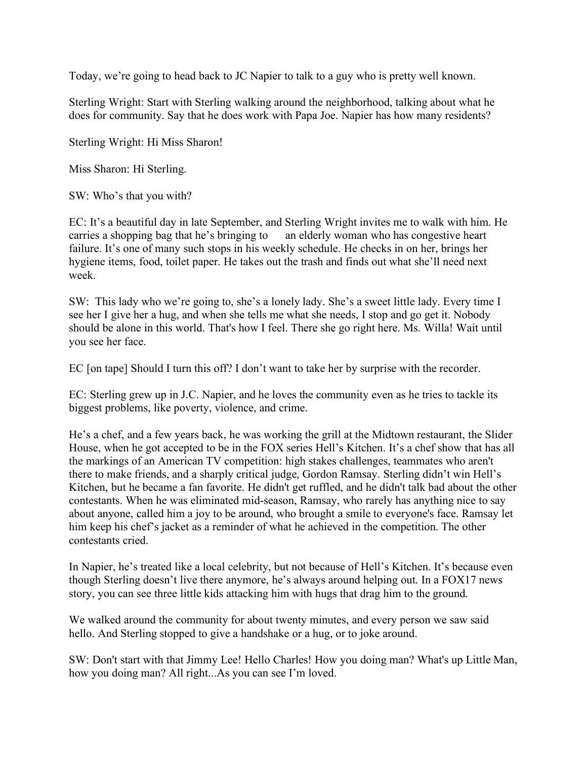Today, we're going to head back to JC Napier to talk to a guy who is pretty well known.

Sterling Wright: Start with Sterling walking around the neighborhood, talking about what he does for community. Say that he does work with Papa Joe. Napier has how many residents?

Sterling Wright: Hi Miss Sharon!

Miss Sharon: Hi Sterling.

SW: Who's that you with?

EC: It's a beautiful day in late September, and Sterling Wright invites me to walk with him. He carries a shopping bag that he's bringing to an elderly woman who has congestive heart failure. It's one of many such stops in his weekly schedule. He checks in on her, brings her hygiene items, food, toilet paper. He takes out the trash and finds out what she'll need next week.

SW: This lady who we're going to, she's a lonely lady. She's a sweet little lady. Every time I see her I give her a hug, and when she tells me what she needs, I stop and go get it. Nobody should be alone in this world. That's how I feel. There she go right here. Ms. Willa! Wait until you see her face.

EC [on tape] Should I turn this off? I don't want to take her by surprise with the recorder.

EC: Sterling grew up in J.C. Napier, and he loves the community even as he tries to tackle its biggest problems, like poverty, violence, and crime.

He's a chef, and a few years back, he was working the grill at the Midtown restaurant, the Slider House, when he got accepted to be in the FOX series Hell's Kitchen. It's a chef show that has all the markings of an American TV competition: high stakes challenges, teammates who aren't there to make friends, and a sharply critical judge, Gordon Ramsay. Sterling didn't win Hell's Kitchen, but he became a fan favorite. He didn't get ruffled, and he didn't talk bad about the other contestants. When he was eliminated mid-season, Ramsay, who rarely has anything nice to say about anyone, called him a joy to be around, who brought a smile to everyone's face. Ramsay let him keep his chef's jacket as a reminder of what he achieved in the competition. The other contestants cried.

In Napier, he's treated like a local celebrity, but not because of Hell's Kitchen. It's because even though Sterling doesn't live there anymore, he's always around helping out. In a FOX17 news story, you can see three little kids attacking him with hugs that drag him to the ground.

We walked around the community for about twenty minutes, and every person we saw said hello. And Sterling stopped to give a handshake or a hug, or to joke around.

SW: Don't start with that Jimmy Lee! Hello Charles! How you doing man? What's up Little Man, how you doing man? All right...As you can see I'm loved.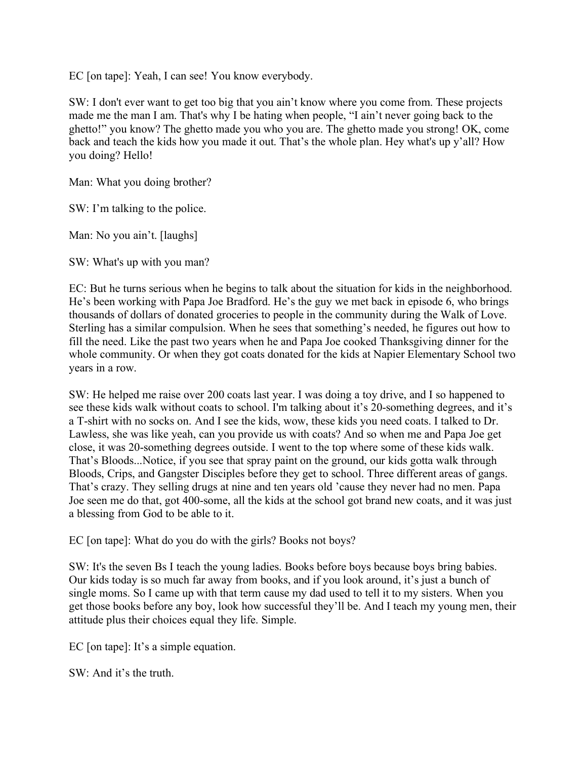EC [on tape]: Yeah, I can see! You know everybody.

SW: I don't ever want to get too big that you ain't know where you come from. These projects made me the man I am. That's why I be hating when people, "I ain't never going back to the ghetto!" you know? The ghetto made you who you are. The ghetto made you strong! OK, come back and teach the kids how you made it out. That's the whole plan. Hey what's up y'all? How you doing? Hello!

Man: What you doing brother?

SW: I'm talking to the police.

Man: No you ain't. [laughs]

SW: What's up with you man?

EC: But he turns serious when he begins to talk about the situation for kids in the neighborhood. He's been working with Papa Joe Bradford. He's the guy we met back in episode 6, who brings thousands of dollars of donated groceries to people in the community during the Walk of Love. Sterling has a similar compulsion. When he sees that something's needed, he figures out how to fill the need. Like the past two years when he and Papa Joe cooked Thanksgiving dinner for the whole community. Or when they got coats donated for the kids at Napier Elementary School two years in a row.

SW: He helped me raise over 200 coats last year. I was doing a toy drive, and I so happened to see these kids walk without coats to school. I'm talking about it's 20-something degrees, and it's a T-shirt with no socks on. And I see the kids, wow, these kids you need coats. I talked to Dr. Lawless, she was like yeah, can you provide us with coats? And so when me and Papa Joe get close, it was 20-something degrees outside. I went to the top where some of these kids walk. That's Bloods...Notice, if you see that spray paint on the ground, our kids gotta walk through Bloods, Crips, and Gangster Disciples before they get to school. Three different areas of gangs. That's crazy. They selling drugs at nine and ten years old 'cause they never had no men. Papa Joe seen me do that, got 400-some, all the kids at the school got brand new coats, and it was just a blessing from God to be able to it.

EC [on tape]: What do you do with the girls? Books not boys?

SW: It's the seven Bs I teach the young ladies. Books before boys because boys bring babies. Our kids today is so much far away from books, and if you look around, it's just a bunch of single moms. So I came up with that term cause my dad used to tell it to my sisters. When you get those books before any boy, look how successful they'll be. And I teach my young men, their attitude plus their choices equal they life. Simple.

EC [on tape]: It's a simple equation.

 $SW<sup>+</sup>$  And it's the truth.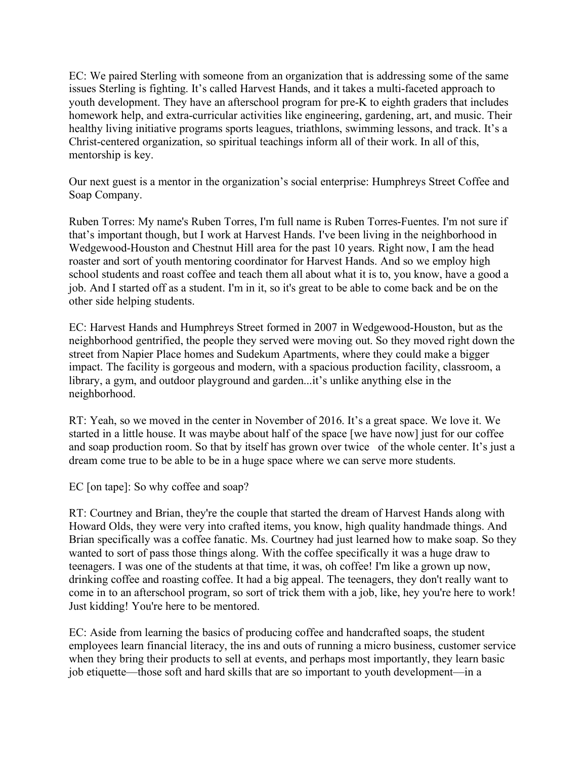EC: We paired Sterling with someone from an organization that is addressing some of the same issues Sterling is fighting. It's called Harvest Hands, and it takes a multi-faceted approach to youth development. They have an afterschool program for pre-K to eighth graders that includes homework help, and extra-curricular activities like engineering, gardening, art, and music. Their healthy living initiative programs sports leagues, triathlons, swimming lessons, and track. It's a Christ-centered organization, so spiritual teachings inform all of their work. In all of this, mentorship is key.

Our next guest is a mentor in the organization's social enterprise: Humphreys Street Coffee and Soap Company.

Ruben Torres: My name's Ruben Torres, I'm full name is Ruben Torres-Fuentes. I'm not sure if that's important though, but I work at Harvest Hands. I've been living in the neighborhood in Wedgewood-Houston and Chestnut Hill area for the past 10 years. Right now, I am the head roaster and sort of youth mentoring coordinator for Harvest Hands. And so we employ high school students and roast coffee and teach them all about what it is to, you know, have a good a job. And I started off as a student. I'm in it, so it's great to be able to come back and be on the other side helping students.

EC: Harvest Hands and Humphreys Street formed in 2007 in Wedgewood-Houston, but as the neighborhood gentrified, the people they served were moving out. So they moved right down the street from Napier Place homes and Sudekum Apartments, where they could make a bigger impact. The facility is gorgeous and modern, with a spacious production facility, classroom, a library, a gym, and outdoor playground and garden...it's unlike anything else in the neighborhood.

RT: Yeah, so we moved in the center in November of 2016. It's a great space. We love it. We started in a little house. It was maybe about half of the space [we have now] just for our coffee and soap production room. So that by itself has grown over twice of the whole center. It's just a dream come true to be able to be in a huge space where we can serve more students.

EC [on tape]: So why coffee and soap?

RT: Courtney and Brian, they're the couple that started the dream of Harvest Hands along with Howard Olds, they were very into crafted items, you know, high quality handmade things. And Brian specifically was a coffee fanatic. Ms. Courtney had just learned how to make soap. So they wanted to sort of pass those things along. With the coffee specifically it was a huge draw to teenagers. I was one of the students at that time, it was, oh coffee! I'm like a grown up now, drinking coffee and roasting coffee. It had a big appeal. The teenagers, they don't really want to come in to an afterschool program, so sort of trick them with a job, like, hey you're here to work! Just kidding! You're here to be mentored.

EC: Aside from learning the basics of producing coffee and handcrafted soaps, the student employees learn financial literacy, the ins and outs of running a micro business, customer service when they bring their products to sell at events, and perhaps most importantly, they learn basic job etiquette––those soft and hard skills that are so important to youth development––in a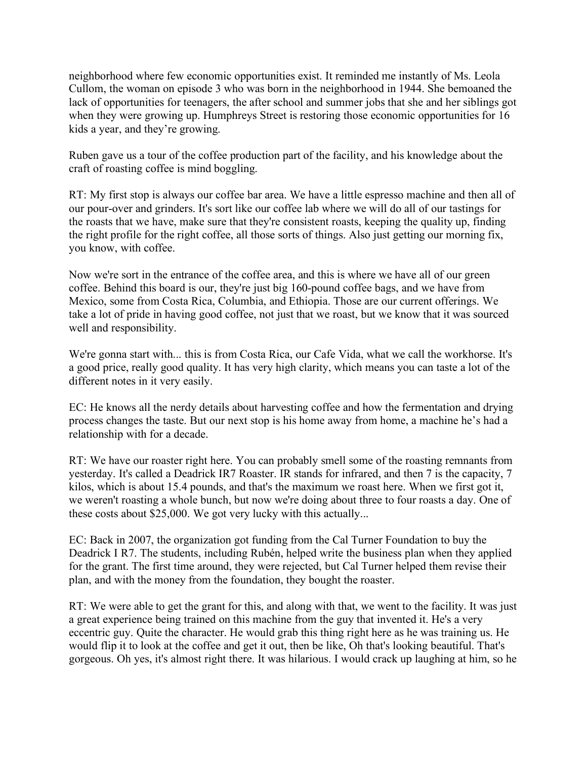neighborhood where few economic opportunities exist. It reminded me instantly of Ms. Leola Cullom, the woman on episode 3 who was born in the neighborhood in 1944. She bemoaned the lack of opportunities for teenagers, the after school and summer jobs that she and her siblings got when they were growing up. Humphreys Street is restoring those economic opportunities for 16 kids a year, and they're growing.

Ruben gave us a tour of the coffee production part of the facility, and his knowledge about the craft of roasting coffee is mind boggling.

RT: My first stop is always our coffee bar area. We have a little espresso machine and then all of our pour-over and grinders. It's sort like our coffee lab where we will do all of our tastings for the roasts that we have, make sure that they're consistent roasts, keeping the quality up, finding the right profile for the right coffee, all those sorts of things. Also just getting our morning fix, you know, with coffee.

Now we're sort in the entrance of the coffee area, and this is where we have all of our green coffee. Behind this board is our, they're just big 160-pound coffee bags, and we have from Mexico, some from Costa Rica, Columbia, and Ethiopia. Those are our current offerings. We take a lot of pride in having good coffee, not just that we roast, but we know that it was sourced well and responsibility.

We're gonna start with... this is from Costa Rica, our Cafe Vida, what we call the workhorse. It's a good price, really good quality. It has very high clarity, which means you can taste a lot of the different notes in it very easily.

EC: He knows all the nerdy details about harvesting coffee and how the fermentation and drying process changes the taste. But our next stop is his home away from home, a machine he's had a relationship with for a decade.

RT: We have our roaster right here. You can probably smell some of the roasting remnants from yesterday. It's called a Deadrick IR7 Roaster. IR stands for infrared, and then 7 is the capacity, 7 kilos, which is about 15.4 pounds, and that's the maximum we roast here. When we first got it, we weren't roasting a whole bunch, but now we're doing about three to four roasts a day. One of these costs about \$25,000. We got very lucky with this actually...

EC: Back in 2007, the organization got funding from the Cal Turner Foundation to buy the Deadrick I R7. The students, including Rubén, helped write the business plan when they applied for the grant. The first time around, they were rejected, but Cal Turner helped them revise their plan, and with the money from the foundation, they bought the roaster.

RT: We were able to get the grant for this, and along with that, we went to the facility. It was just a great experience being trained on this machine from the guy that invented it. He's a very eccentric guy. Quite the character. He would grab this thing right here as he was training us. He would flip it to look at the coffee and get it out, then be like, Oh that's looking beautiful. That's gorgeous. Oh yes, it's almost right there. It was hilarious. I would crack up laughing at him, so he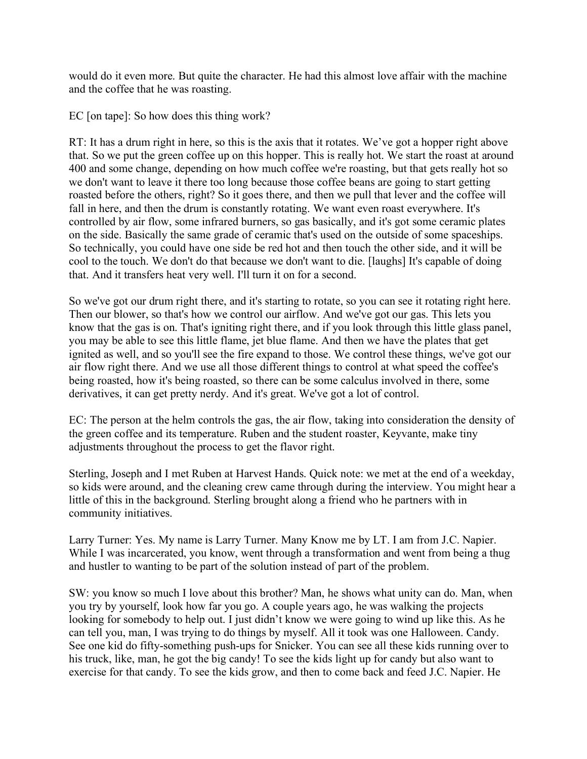would do it even more. But quite the character. He had this almost love affair with the machine and the coffee that he was roasting.

EC [on tape]: So how does this thing work?

RT: It has a drum right in here, so this is the axis that it rotates. We've got a hopper right above that. So we put the green coffee up on this hopper. This is really hot. We start the roast at around 400 and some change, depending on how much coffee we're roasting, but that gets really hot so we don't want to leave it there too long because those coffee beans are going to start getting roasted before the others, right? So it goes there, and then we pull that lever and the coffee will fall in here, and then the drum is constantly rotating. We want even roast everywhere. It's controlled by air flow, some infrared burners, so gas basically, and it's got some ceramic plates on the side. Basically the same grade of ceramic that's used on the outside of some spaceships. So technically, you could have one side be red hot and then touch the other side, and it will be cool to the touch. We don't do that because we don't want to die. [laughs] It's capable of doing that. And it transfers heat very well. I'll turn it on for a second.

So we've got our drum right there, and it's starting to rotate, so you can see it rotating right here. Then our blower, so that's how we control our airflow. And we've got our gas. This lets you know that the gas is on. That's igniting right there, and if you look through this little glass panel, you may be able to see this little flame, jet blue flame. And then we have the plates that get ignited as well, and so you'll see the fire expand to those. We control these things, we've got our air flow right there. And we use all those different things to control at what speed the coffee's being roasted, how it's being roasted, so there can be some calculus involved in there, some derivatives, it can get pretty nerdy. And it's great. We've got a lot of control.

EC: The person at the helm controls the gas, the air flow, taking into consideration the density of the green coffee and its temperature. Ruben and the student roaster, Keyvante, make tiny adjustments throughout the process to get the flavor right.

Sterling, Joseph and I met Ruben at Harvest Hands. Quick note: we met at the end of a weekday, so kids were around, and the cleaning crew came through during the interview. You might hear a little of this in the background. Sterling brought along a friend who he partners with in community initiatives.

Larry Turner: Yes. My name is Larry Turner. Many Know me by LT. I am from J.C. Napier. While I was incarcerated, you know, went through a transformation and went from being a thug and hustler to wanting to be part of the solution instead of part of the problem.

SW: you know so much I love about this brother? Man, he shows what unity can do. Man, when you try by yourself, look how far you go. A couple years ago, he was walking the projects looking for somebody to help out. I just didn't know we were going to wind up like this. As he can tell you, man, I was trying to do things by myself. All it took was one Halloween. Candy. See one kid do fifty-something push-ups for Snicker. You can see all these kids running over to his truck, like, man, he got the big candy! To see the kids light up for candy but also want to exercise for that candy. To see the kids grow, and then to come back and feed J.C. Napier. He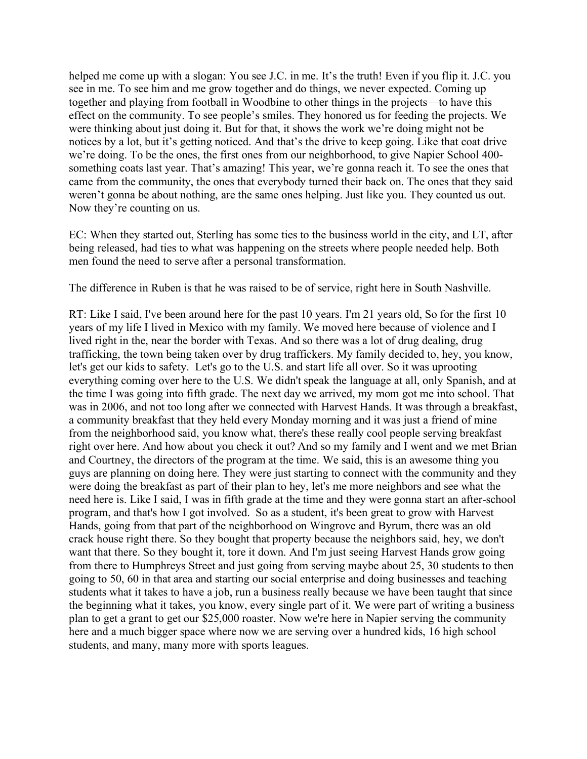helped me come up with a slogan: You see J.C. in me. It's the truth! Even if you flip it. J.C. you see in me. To see him and me grow together and do things, we never expected. Coming up together and playing from football in Woodbine to other things in the projects––to have this effect on the community. To see people's smiles. They honored us for feeding the projects. We were thinking about just doing it. But for that, it shows the work we're doing might not be notices by a lot, but it's getting noticed. And that's the drive to keep going. Like that coat drive we're doing. To be the ones, the first ones from our neighborhood, to give Napier School 400 something coats last year. That's amazing! This year, we're gonna reach it. To see the ones that came from the community, the ones that everybody turned their back on. The ones that they said weren't gonna be about nothing, are the same ones helping. Just like you. They counted us out. Now they're counting on us.

EC: When they started out, Sterling has some ties to the business world in the city, and LT, after being released, had ties to what was happening on the streets where people needed help. Both men found the need to serve after a personal transformation.

The difference in Ruben is that he was raised to be of service, right here in South Nashville.

RT: Like I said, I've been around here for the past 10 years. I'm 21 years old, So for the first 10 years of my life I lived in Mexico with my family. We moved here because of violence and I lived right in the, near the border with Texas. And so there was a lot of drug dealing, drug trafficking, the town being taken over by drug traffickers. My family decided to, hey, you know, let's get our kids to safety. Let's go to the U.S. and start life all over. So it was uprooting everything coming over here to the U.S. We didn't speak the language at all, only Spanish, and at the time I was going into fifth grade. The next day we arrived, my mom got me into school. That was in 2006, and not too long after we connected with Harvest Hands. It was through a breakfast, a community breakfast that they held every Monday morning and it was just a friend of mine from the neighborhood said, you know what, there's these really cool people serving breakfast right over here. And how about you check it out? And so my family and I went and we met Brian and Courtney, the directors of the program at the time. We said, this is an awesome thing you guys are planning on doing here. They were just starting to connect with the community and they were doing the breakfast as part of their plan to hey, let's me more neighbors and see what the need here is. Like I said, I was in fifth grade at the time and they were gonna start an after-school program, and that's how I got involved. So as a student, it's been great to grow with Harvest Hands, going from that part of the neighborhood on Wingrove and Byrum, there was an old crack house right there. So they bought that property because the neighbors said, hey, we don't want that there. So they bought it, tore it down. And I'm just seeing Harvest Hands grow going from there to Humphreys Street and just going from serving maybe about 25, 30 students to then going to 50, 60 in that area and starting our social enterprise and doing businesses and teaching students what it takes to have a job, run a business really because we have been taught that since the beginning what it takes, you know, every single part of it. We were part of writing a business plan to get a grant to get our \$25,000 roaster. Now we're here in Napier serving the community here and a much bigger space where now we are serving over a hundred kids, 16 high school students, and many, many more with sports leagues.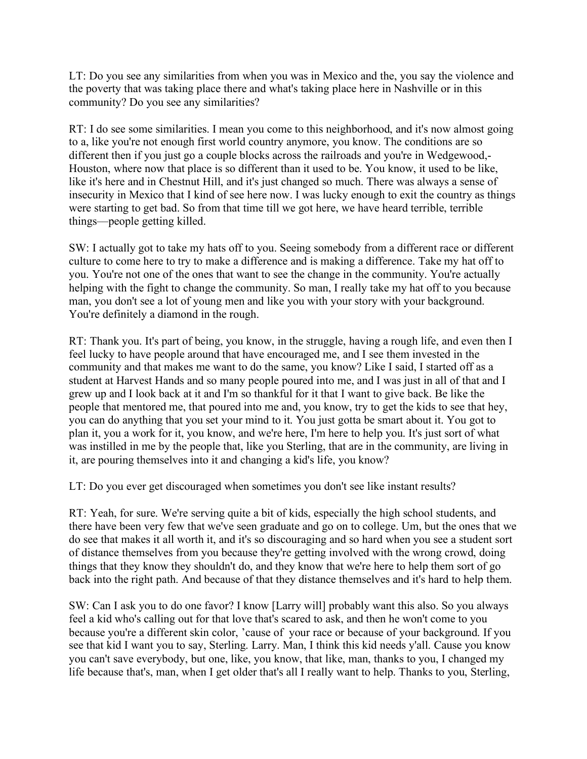LT: Do you see any similarities from when you was in Mexico and the, you say the violence and the poverty that was taking place there and what's taking place here in Nashville or in this community? Do you see any similarities?

RT: I do see some similarities. I mean you come to this neighborhood, and it's now almost going to a, like you're not enough first world country anymore, you know. The conditions are so different then if you just go a couple blocks across the railroads and you're in Wedgewood,- Houston, where now that place is so different than it used to be. You know, it used to be like, like it's here and in Chestnut Hill, and it's just changed so much. There was always a sense of insecurity in Mexico that I kind of see here now. I was lucky enough to exit the country as things were starting to get bad. So from that time till we got here, we have heard terrible, terrible things––people getting killed.

SW: I actually got to take my hats off to you. Seeing somebody from a different race or different culture to come here to try to make a difference and is making a difference. Take my hat off to you. You're not one of the ones that want to see the change in the community. You're actually helping with the fight to change the community. So man, I really take my hat off to you because man, you don't see a lot of young men and like you with your story with your background. You're definitely a diamond in the rough.

RT: Thank you. It's part of being, you know, in the struggle, having a rough life, and even then I feel lucky to have people around that have encouraged me, and I see them invested in the community and that makes me want to do the same, you know? Like I said, I started off as a student at Harvest Hands and so many people poured into me, and I was just in all of that and I grew up and I look back at it and I'm so thankful for it that I want to give back. Be like the people that mentored me, that poured into me and, you know, try to get the kids to see that hey, you can do anything that you set your mind to it. You just gotta be smart about it. You got to plan it, you a work for it, you know, and we're here, I'm here to help you. It's just sort of what was instilled in me by the people that, like you Sterling, that are in the community, are living in it, are pouring themselves into it and changing a kid's life, you know?

LT: Do you ever get discouraged when sometimes you don't see like instant results?

RT: Yeah, for sure. We're serving quite a bit of kids, especially the high school students, and there have been very few that we've seen graduate and go on to college. Um, but the ones that we do see that makes it all worth it, and it's so discouraging and so hard when you see a student sort of distance themselves from you because they're getting involved with the wrong crowd, doing things that they know they shouldn't do, and they know that we're here to help them sort of go back into the right path. And because of that they distance themselves and it's hard to help them.

SW: Can I ask you to do one favor? I know [Larry will] probably want this also. So you always feel a kid who's calling out for that love that's scared to ask, and then he won't come to you because you're a different skin color, 'cause of your race or because of your background. If you see that kid I want you to say, Sterling. Larry. Man, I think this kid needs y'all. Cause you know you can't save everybody, but one, like, you know, that like, man, thanks to you, I changed my life because that's, man, when I get older that's all I really want to help. Thanks to you, Sterling,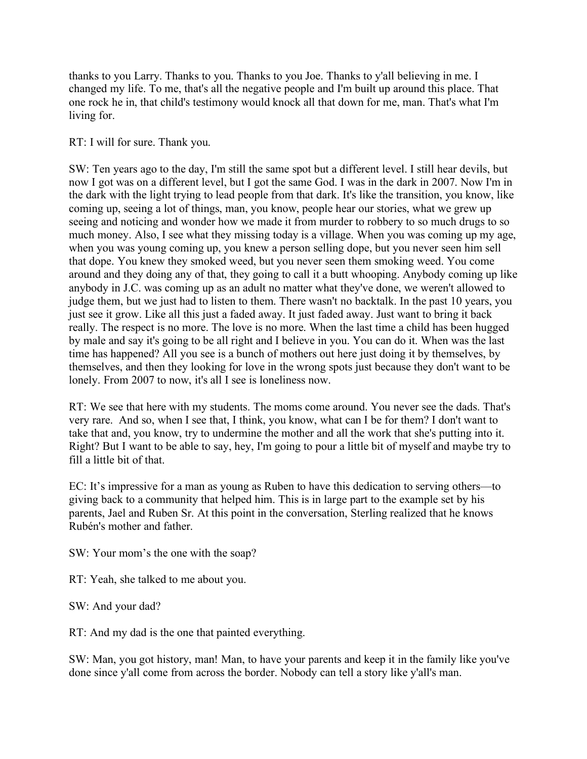thanks to you Larry. Thanks to you. Thanks to you Joe. Thanks to y'all believing in me. I changed my life. To me, that's all the negative people and I'm built up around this place. That one rock he in, that child's testimony would knock all that down for me, man. That's what I'm living for.

RT: I will for sure. Thank you.

SW: Ten years ago to the day, I'm still the same spot but a different level. I still hear devils, but now I got was on a different level, but I got the same God. I was in the dark in 2007. Now I'm in the dark with the light trying to lead people from that dark. It's like the transition, you know, like coming up, seeing a lot of things, man, you know, people hear our stories, what we grew up seeing and noticing and wonder how we made it from murder to robbery to so much drugs to so much money. Also, I see what they missing today is a village. When you was coming up my age, when you was young coming up, you knew a person selling dope, but you never seen him sell that dope. You knew they smoked weed, but you never seen them smoking weed. You come around and they doing any of that, they going to call it a butt whooping. Anybody coming up like anybody in J.C. was coming up as an adult no matter what they've done, we weren't allowed to judge them, but we just had to listen to them. There wasn't no backtalk. In the past 10 years, you just see it grow. Like all this just a faded away. It just faded away. Just want to bring it back really. The respect is no more. The love is no more. When the last time a child has been hugged by male and say it's going to be all right and I believe in you. You can do it. When was the last time has happened? All you see is a bunch of mothers out here just doing it by themselves, by themselves, and then they looking for love in the wrong spots just because they don't want to be lonely. From 2007 to now, it's all I see is loneliness now.

RT: We see that here with my students. The moms come around. You never see the dads. That's very rare. And so, when I see that, I think, you know, what can I be for them? I don't want to take that and, you know, try to undermine the mother and all the work that she's putting into it. Right? But I want to be able to say, hey, I'm going to pour a little bit of myself and maybe try to fill a little bit of that.

EC: It's impressive for a man as young as Ruben to have this dedication to serving others––to giving back to a community that helped him. This is in large part to the example set by his parents, Jael and Ruben Sr. At this point in the conversation, Sterling realized that he knows Rubén's mother and father.

SW: Your mom's the one with the soap?

RT: Yeah, she talked to me about you.

SW: And your dad?

RT: And my dad is the one that painted everything.

SW: Man, you got history, man! Man, to have your parents and keep it in the family like you've done since y'all come from across the border. Nobody can tell a story like y'all's man.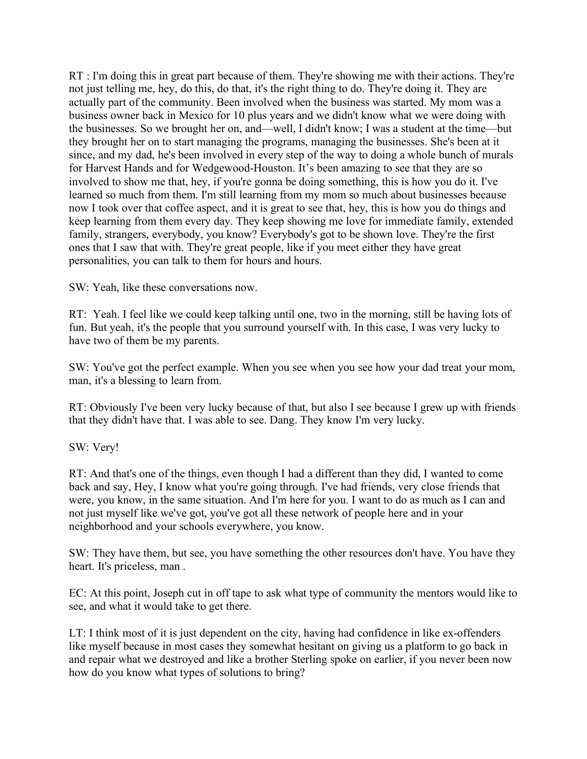RT : I'm doing this in great part because of them. They're showing me with their actions. They're not just telling me, hey, do this, do that, it's the right thing to do. They're doing it. They are actually part of the community. Been involved when the business was started. My mom was a business owner back in Mexico for 10 plus years and we didn't know what we were doing with the businesses. So we brought her on, and––well, I didn't know; I was a student at the time––but they brought her on to start managing the programs, managing the businesses. She's been at it since, and my dad, he's been involved in every step of the way to doing a whole bunch of murals for Harvest Hands and for Wedgewood-Houston. It's been amazing to see that they are so involved to show me that, hey, if you're gonna be doing something, this is how you do it. I've learned so much from them. I'm still learning from my mom so much about businesses because now I took over that coffee aspect, and it is great to see that, hey, this is how you do things and keep learning from them every day. They keep showing me love for immediate family, extended family, strangers, everybody, you know? Everybody's got to be shown love. They're the first ones that I saw that with. They're great people, like if you meet either they have great personalities, you can talk to them for hours and hours.

SW: Yeah, like these conversations now.

RT: Yeah. I feel like we could keep talking until one, two in the morning, still be having lots of fun. But yeah, it's the people that you surround yourself with. In this case, I was very lucky to have two of them be my parents.

SW: You've got the perfect example. When you see when you see how your dad treat your mom, man, it's a blessing to learn from.

RT: Obviously I've been very lucky because of that, but also I see because I grew up with friends that they didn't have that. I was able to see. Dang. They know I'm very lucky.

## SW: Very!

RT: And that's one of the things, even though I had a different than they did, I wanted to come back and say, Hey, I know what you're going through. I've had friends, very close friends that were, you know, in the same situation. And I'm here for you. I want to do as much as I can and not just myself like we've got, you've got all these network of people here and in your neighborhood and your schools everywhere, you know.

SW: They have them, but see, you have something the other resources don't have. You have they heart. It's priceless, man .

EC: At this point, Joseph cut in off tape to ask what type of community the mentors would like to see, and what it would take to get there.

LT: I think most of it is just dependent on the city, having had confidence in like ex-offenders like myself because in most cases they somewhat hesitant on giving us a platform to go back in and repair what we destroyed and like a brother Sterling spoke on earlier, if you never been now how do you know what types of solutions to bring?